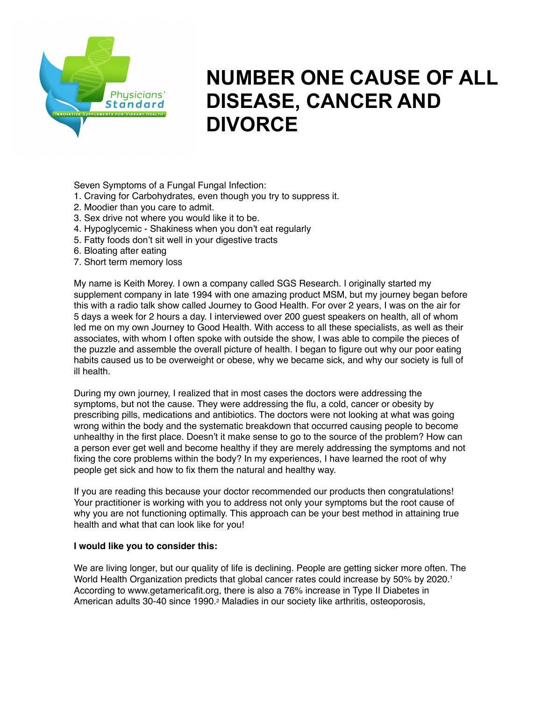

# **NUMBER ONE CAUSE OF ALL DISEASE, CANCER AND DIVORCE**

Seven Symptoms of a Fungal Fungal Infection:

- 1. Craving for Carbohydrates, even though you try to suppress it.
- 2. Moodier than you care to admit.
- 3. Sex drive not where you would like it to be.
- 4. Hypoglycemic Shakiness when you don't eat regularly
- 5. Fatty foods don't sit well in your digestive tracts
- 6. Bloating after eating
- 7. Short term memory loss

My name is Keith Morey. I own a company called SGS Research. I originally started my supplement company in late 1994 with one amazing product MSM, but my journey began before this with a radio talk show called Journey to Good Health. For over 2 years, I was on the air for 5 days a week for 2 hours a day. I interviewed over 200 guest speakers on health, all of whom led me on my own Journey to Good Health. With access to all these specialists, as well as their associates, with whom I often spoke with outside the show, I was able to compile the pieces of the puzzle and assemble the overall picture of health. I began to figure out why our poor eating habits caused us to be overweight or obese, why we became sick, and why our society is full of ill health.

During my own journey, I realized that in most cases the doctors were addressing the symptoms, but not the cause. They were addressing the flu, a cold, cancer or obesity by prescribing pills, medications and antibiotics. The doctors were not looking at what was going wrong within the body and the systematic breakdown that occurred causing people to become unhealthy in the first place. Doesn't it make sense to go to the source of the problem? How can a person ever get well and become healthy if they are merely addressing the symptoms and not fixing the core problems within the body? In my experiences, I have learned the root of why people get sick and how to fix them the natural and healthy way.

If you are reading this because your doctor recommended our products then congratulations! Your practitioner is working with you to address not only your symptoms but the root cause of why you are not functioning optimally. This approach can be your best method in attaining true health and what that can look like for you!

# **I would like you to consider this:**

We are living longer, but our quality of life is declining. People are getting sicker more often. The World Health Organization predicts that global cancer rates could increase by 50% by 2020.<sup>1</sup> According to www.getamericafit.org, there is also a 76% increase in Type II Diabetes in American adults 30-40 since 1990.2 Maladies in our society like arthritis, osteoporosis,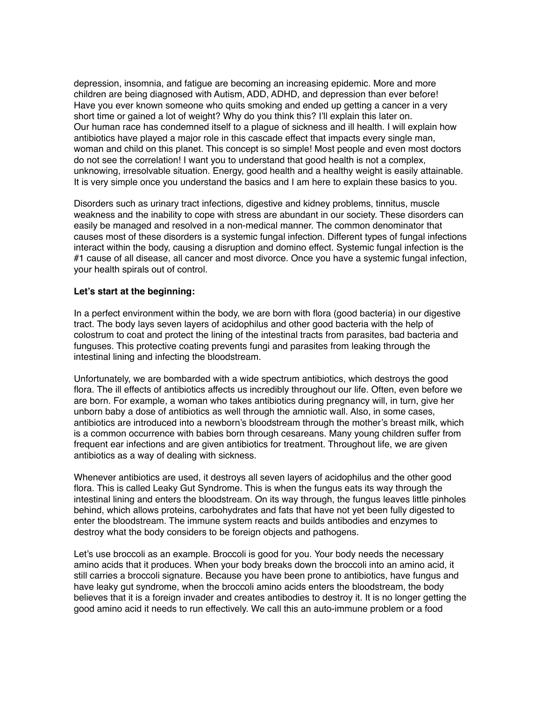depression, insomnia, and fatigue are becoming an increasing epidemic. More and more children are being diagnosed with Autism, ADD, ADHD, and depression than ever before! Have you ever known someone who quits smoking and ended up getting a cancer in a very short time or gained a lot of weight? Why do you think this? I'll explain this later on. Our human race has condemned itself to a plague of sickness and ill health. I will explain how antibiotics have played a major role in this cascade effect that impacts every single man, woman and child on this planet. This concept is so simple! Most people and even most doctors do not see the correlation! I want you to understand that good health is not a complex, unknowing, irresolvable situation. Energy, good health and a healthy weight is easily attainable. It is very simple once you understand the basics and I am here to explain these basics to you.

Disorders such as urinary tract infections, digestive and kidney problems, tinnitus, muscle weakness and the inability to cope with stress are abundant in our society. These disorders can easily be managed and resolved in a non-medical manner. The common denominator that causes most of these disorders is a systemic fungal infection. Different types of fungal infections interact within the body, causing a disruption and domino effect. Systemic fungal infection is the #1 cause of all disease, all cancer and most divorce. Once you have a systemic fungal infection, your health spirals out of control.

# **Let's start at the beginning:**

In a perfect environment within the body, we are born with flora (good bacteria) in our digestive tract. The body lays seven layers of acidophilus and other good bacteria with the help of colostrum to coat and protect the lining of the intestinal tracts from parasites, bad bacteria and funguses. This protective coating prevents fungi and parasites from leaking through the intestinal lining and infecting the bloodstream.

Unfortunately, we are bombarded with a wide spectrum antibiotics, which destroys the good flora. The ill effects of antibiotics affects us incredibly throughout our life. Often, even before we are born. For example, a woman who takes antibiotics during pregnancy will, in turn, give her unborn baby a dose of antibiotics as well through the amniotic wall. Also, in some cases, antibiotics are introduced into a newborn's bloodstream through the mother's breast milk, which is a common occurrence with babies born through cesareans. Many young children suffer from frequent ear infections and are given antibiotics for treatment. Throughout life, we are given antibiotics as a way of dealing with sickness.

Whenever antibiotics are used, it destroys all seven layers of acidophilus and the other good flora. This is called Leaky Gut Syndrome. This is when the fungus eats its way through the intestinal lining and enters the bloodstream. On its way through, the fungus leaves little pinholes behind, which allows proteins, carbohydrates and fats that have not yet been fully digested to enter the bloodstream. The immune system reacts and builds antibodies and enzymes to destroy what the body considers to be foreign objects and pathogens.

Let's use broccoli as an example. Broccoli is good for you. Your body needs the necessary amino acids that it produces. When your body breaks down the broccoli into an amino acid, it still carries a broccoli signature. Because you have been prone to antibiotics, have fungus and have leaky gut syndrome, when the broccoli amino acids enters the bloodstream, the body believes that it is a foreign invader and creates antibodies to destroy it. It is no longer getting the good amino acid it needs to run effectively. We call this an auto-immune problem or a food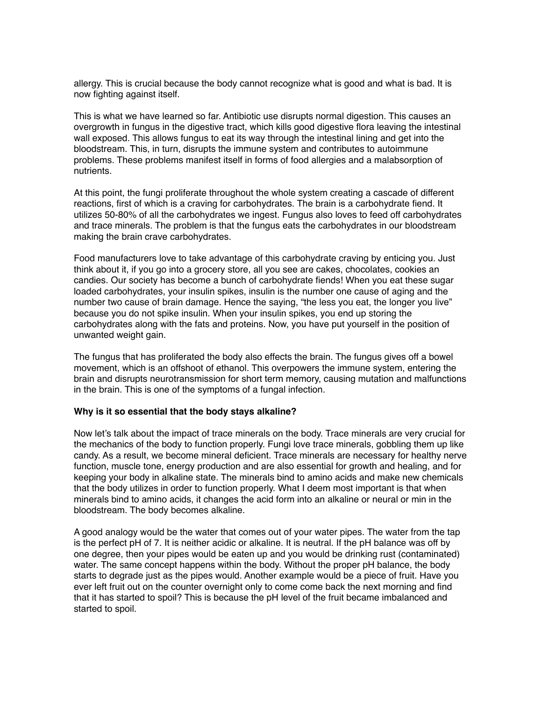allergy. This is crucial because the body cannot recognize what is good and what is bad. It is now fighting against itself.

This is what we have learned so far. Antibiotic use disrupts normal digestion. This causes an overgrowth in fungus in the digestive tract, which kills good digestive flora leaving the intestinal wall exposed. This allows fungus to eat its way through the intestinal lining and get into the bloodstream. This, in turn, disrupts the immune system and contributes to autoimmune problems. These problems manifest itself in forms of food allergies and a malabsorption of nutrients.

At this point, the fungi proliferate throughout the whole system creating a cascade of different reactions, first of which is a craving for carbohydrates. The brain is a carbohydrate fiend. It utilizes 50-80% of all the carbohydrates we ingest. Fungus also loves to feed off carbohydrates and trace minerals. The problem is that the fungus eats the carbohydrates in our bloodstream making the brain crave carbohydrates.

Food manufacturers love to take advantage of this carbohydrate craving by enticing you. Just think about it, if you go into a grocery store, all you see are cakes, chocolates, cookies an candies. Our society has become a bunch of carbohydrate fiends! When you eat these sugar loaded carbohydrates, your insulin spikes, insulin is the number one cause of aging and the number two cause of brain damage. Hence the saying, "the less you eat, the longer you live" because you do not spike insulin. When your insulin spikes, you end up storing the carbohydrates along with the fats and proteins. Now, you have put yourself in the position of unwanted weight gain.

The fungus that has proliferated the body also effects the brain. The fungus gives off a bowel movement, which is an offshoot of ethanol. This overpowers the immune system, entering the brain and disrupts neurotransmission for short term memory, causing mutation and malfunctions in the brain. This is one of the symptoms of a fungal infection.

### **Why is it so essential that the body stays alkaline?**

Now let's talk about the impact of trace minerals on the body. Trace minerals are very crucial for the mechanics of the body to function properly. Fungi love trace minerals, gobbling them up like candy. As a result, we become mineral deficient. Trace minerals are necessary for healthy nerve function, muscle tone, energy production and are also essential for growth and healing, and for keeping your body in alkaline state. The minerals bind to amino acids and make new chemicals that the body utilizes in order to function properly. What I deem most important is that when minerals bind to amino acids, it changes the acid form into an alkaline or neural or min in the bloodstream. The body becomes alkaline.

A good analogy would be the water that comes out of your water pipes. The water from the tap is the perfect pH of 7. It is neither acidic or alkaline. It is neutral. If the pH balance was off by one degree, then your pipes would be eaten up and you would be drinking rust (contaminated) water. The same concept happens within the body. Without the proper pH balance, the body starts to degrade just as the pipes would. Another example would be a piece of fruit. Have you ever left fruit out on the counter overnight only to come come back the next morning and find that it has started to spoil? This is because the pH level of the fruit became imbalanced and started to spoil.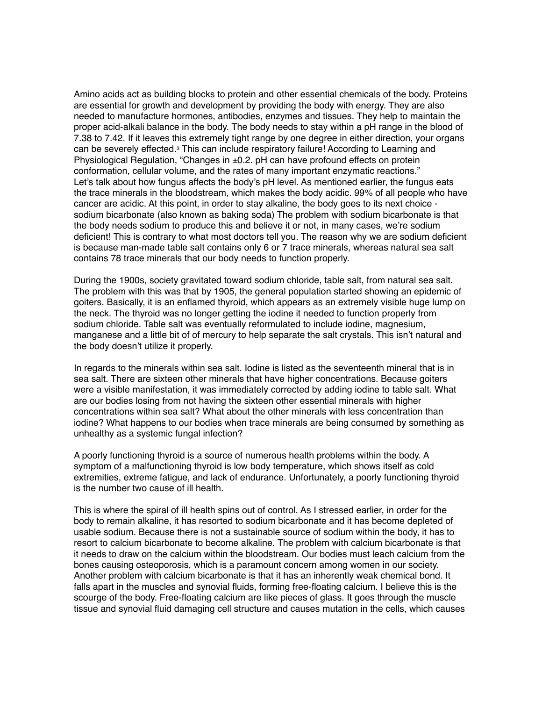Amino acids act as building blocks to protein and other essential chemicals of the body. Proteins are essential for growth and development by providing the body with energy. They are also needed to manufacture hormones, antibodies, enzymes and tissues. They help to maintain the proper acid-alkali balance in the body. The body needs to stay within a pH range in the blood of 7.38 to 7.42. If it leaves this extremely tight range by one degree in either direction, your organs can be severely effected.3 This can include respiratory failure! According to Learning and Physiological Regulation, "Changes in ±0.2. pH can have profound effects on protein conformation, cellular volume, and the rates of many important enzymatic reactions." Let's talk about how fungus affects the body's pH level. As mentioned earlier, the fungus eats the trace minerals in the bloodstream, which makes the body acidic. 99% of all people who have cancer are acidic. At this point, in order to stay alkaline, the body goes to its next choice sodium bicarbonate (also known as baking soda) The problem with sodium bicarbonate is that the body needs sodium to produce this and believe it or not, in many cases, we're sodium deficient! This is contrary to what most doctors tell you. The reason why we are sodium deficient is because man-made table salt contains only 6 or 7 trace minerals, whereas natural sea salt contains 78 trace minerals that our body needs to function properly.

During the 1900s, society gravitated toward sodium chloride, table salt, from natural sea salt. The problem with this was that by 1905, the general population started showing an epidemic of goiters. Basically, it is an enflamed thyroid, which appears as an extremely visible huge lump on the neck. The thyroid was no longer getting the iodine it needed to function properly from sodium chloride. Table salt was eventually reformulated to include iodine, magnesium, manganese and a little bit of of mercury to help separate the salt crystals. This isn't natural and the body doesn't utilize it properly.

In regards to the minerals within sea salt. Iodine is listed as the seventeenth mineral that is in sea salt. There are sixteen other minerals that have higher concentrations. Because goiters were a visible manifestation, it was immediately corrected by adding iodine to table salt. What are our bodies losing from not having the sixteen other essential minerals with higher concentrations within sea salt? What about the other minerals with less concentration than iodine? What happens to our bodies when trace minerals are being consumed by something as unhealthy as a systemic fungal infection?

A poorly functioning thyroid is a source of numerous health problems within the body. A symptom of a malfunctioning thyroid is low body temperature, which shows itself as cold extremities, extreme fatigue, and lack of endurance. Unfortunately, a poorly functioning thyroid is the number two cause of ill health.

This is where the spiral of ill health spins out of control. As I stressed earlier, in order for the body to remain alkaline, it has resorted to sodium bicarbonate and it has become depleted of usable sodium. Because there is not a sustainable source of sodium within the body, it has to resort to calcium bicarbonate to become alkaline. The problem with calcium bicarbonate is that it needs to draw on the calcium within the bloodstream. Our bodies must leach calcium from the bones causing osteoporosis, which is a paramount concern among women in our society. Another problem with calcium bicarbonate is that it has an inherently weak chemical bond. It falls apart in the muscles and synovial fluids, forming free-floating calcium. I believe this is the scourge of the body. Free-floating calcium are like pieces of glass. It goes through the muscle tissue and synovial fluid damaging cell structure and causes mutation in the cells, which causes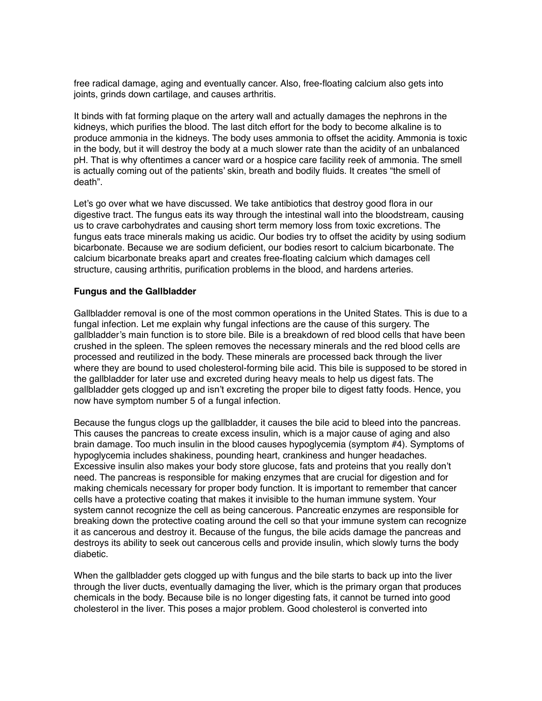free radical damage, aging and eventually cancer. Also, free-floating calcium also gets into joints, grinds down cartilage, and causes arthritis.

It binds with fat forming plaque on the artery wall and actually damages the nephrons in the kidneys, which purifies the blood. The last ditch effort for the body to become alkaline is to produce ammonia in the kidneys. The body uses ammonia to offset the acidity. Ammonia is toxic in the body, but it will destroy the body at a much slower rate than the acidity of an unbalanced pH. That is why oftentimes a cancer ward or a hospice care facility reek of ammonia. The smell is actually coming out of the patients' skin, breath and bodily fluids. It creates "the smell of death".

Let's go over what we have discussed. We take antibiotics that destroy good flora in our digestive tract. The fungus eats its way through the intestinal wall into the bloodstream, causing us to crave carbohydrates and causing short term memory loss from toxic excretions. The fungus eats trace minerals making us acidic. Our bodies try to offset the acidity by using sodium bicarbonate. Because we are sodium deficient, our bodies resort to calcium bicarbonate. The calcium bicarbonate breaks apart and creates free-floating calcium which damages cell structure, causing arthritis, purification problems in the blood, and hardens arteries.

## **Fungus and the Gallbladder**

Gallbladder removal is one of the most common operations in the United States. This is due to a fungal infection. Let me explain why fungal infections are the cause of this surgery. The gallbladder's main function is to store bile. Bile is a breakdown of red blood cells that have been crushed in the spleen. The spleen removes the necessary minerals and the red blood cells are processed and reutilized in the body. These minerals are processed back through the liver where they are bound to used cholesterol-forming bile acid. This bile is supposed to be stored in the gallbladder for later use and excreted during heavy meals to help us digest fats. The gallbladder gets clogged up and isn't excreting the proper bile to digest fatty foods. Hence, you now have symptom number 5 of a fungal infection.

Because the fungus clogs up the gallbladder, it causes the bile acid to bleed into the pancreas. This causes the pancreas to create excess insulin, which is a major cause of aging and also brain damage. Too much insulin in the blood causes hypoglycemia (symptom #4). Symptoms of hypoglycemia includes shakiness, pounding heart, crankiness and hunger headaches. Excessive insulin also makes your body store glucose, fats and proteins that you really don't need. The pancreas is responsible for making enzymes that are crucial for digestion and for making chemicals necessary for proper body function. It is important to remember that cancer cells have a protective coating that makes it invisible to the human immune system. Your system cannot recognize the cell as being cancerous. Pancreatic enzymes are responsible for breaking down the protective coating around the cell so that your immune system can recognize it as cancerous and destroy it. Because of the fungus, the bile acids damage the pancreas and destroys its ability to seek out cancerous cells and provide insulin, which slowly turns the body diabetic.

When the gallbladder gets clogged up with fungus and the bile starts to back up into the liver through the liver ducts, eventually damaging the liver, which is the primary organ that produces chemicals in the body. Because bile is no longer digesting fats, it cannot be turned into good cholesterol in the liver. This poses a major problem. Good cholesterol is converted into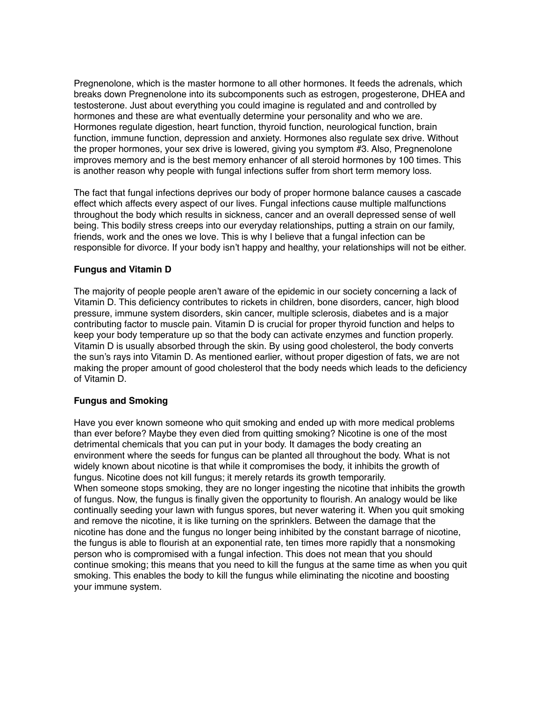Pregnenolone, which is the master hormone to all other hormones. It feeds the adrenals, which breaks down Pregnenolone into its subcomponents such as estrogen, progesterone, DHEA and testosterone. Just about everything you could imagine is regulated and and controlled by hormones and these are what eventually determine your personality and who we are. Hormones regulate digestion, heart function, thyroid function, neurological function, brain function, immune function, depression and anxiety. Hormones also regulate sex drive. Without the proper hormones, your sex drive is lowered, giving you symptom #3. Also, Pregnenolone improves memory and is the best memory enhancer of all steroid hormones by 100 times. This is another reason why people with fungal infections suffer from short term memory loss.

The fact that fungal infections deprives our body of proper hormone balance causes a cascade effect which affects every aspect of our lives. Fungal infections cause multiple malfunctions throughout the body which results in sickness, cancer and an overall depressed sense of well being. This bodily stress creeps into our everyday relationships, putting a strain on our family, friends, work and the ones we love. This is why I believe that a fungal infection can be responsible for divorce. If your body isn't happy and healthy, your relationships will not be either.

# **Fungus and Vitamin D**

The majority of people people aren't aware of the epidemic in our society concerning a lack of Vitamin D. This deficiency contributes to rickets in children, bone disorders, cancer, high blood pressure, immune system disorders, skin cancer, multiple sclerosis, diabetes and is a major contributing factor to muscle pain. Vitamin D is crucial for proper thyroid function and helps to keep your body temperature up so that the body can activate enzymes and function properly. Vitamin D is usually absorbed through the skin. By using good cholesterol, the body converts the sun's rays into Vitamin D. As mentioned earlier, without proper digestion of fats, we are not making the proper amount of good cholesterol that the body needs which leads to the deficiency of Vitamin D.

### **Fungus and Smoking**

Have you ever known someone who quit smoking and ended up with more medical problems than ever before? Maybe they even died from quitting smoking? Nicotine is one of the most detrimental chemicals that you can put in your body. It damages the body creating an environment where the seeds for fungus can be planted all throughout the body. What is not widely known about nicotine is that while it compromises the body, it inhibits the growth of fungus. Nicotine does not kill fungus; it merely retards its growth temporarily. When someone stops smoking, they are no longer ingesting the nicotine that inhibits the growth of fungus. Now, the fungus is finally given the opportunity to flourish. An analogy would be like continually seeding your lawn with fungus spores, but never watering it. When you quit smoking and remove the nicotine, it is like turning on the sprinklers. Between the damage that the nicotine has done and the fungus no longer being inhibited by the constant barrage of nicotine, the fungus is able to flourish at an exponential rate, ten times more rapidly that a nonsmoking person who is compromised with a fungal infection. This does not mean that you should continue smoking; this means that you need to kill the fungus at the same time as when you quit smoking. This enables the body to kill the fungus while eliminating the nicotine and boosting your immune system.